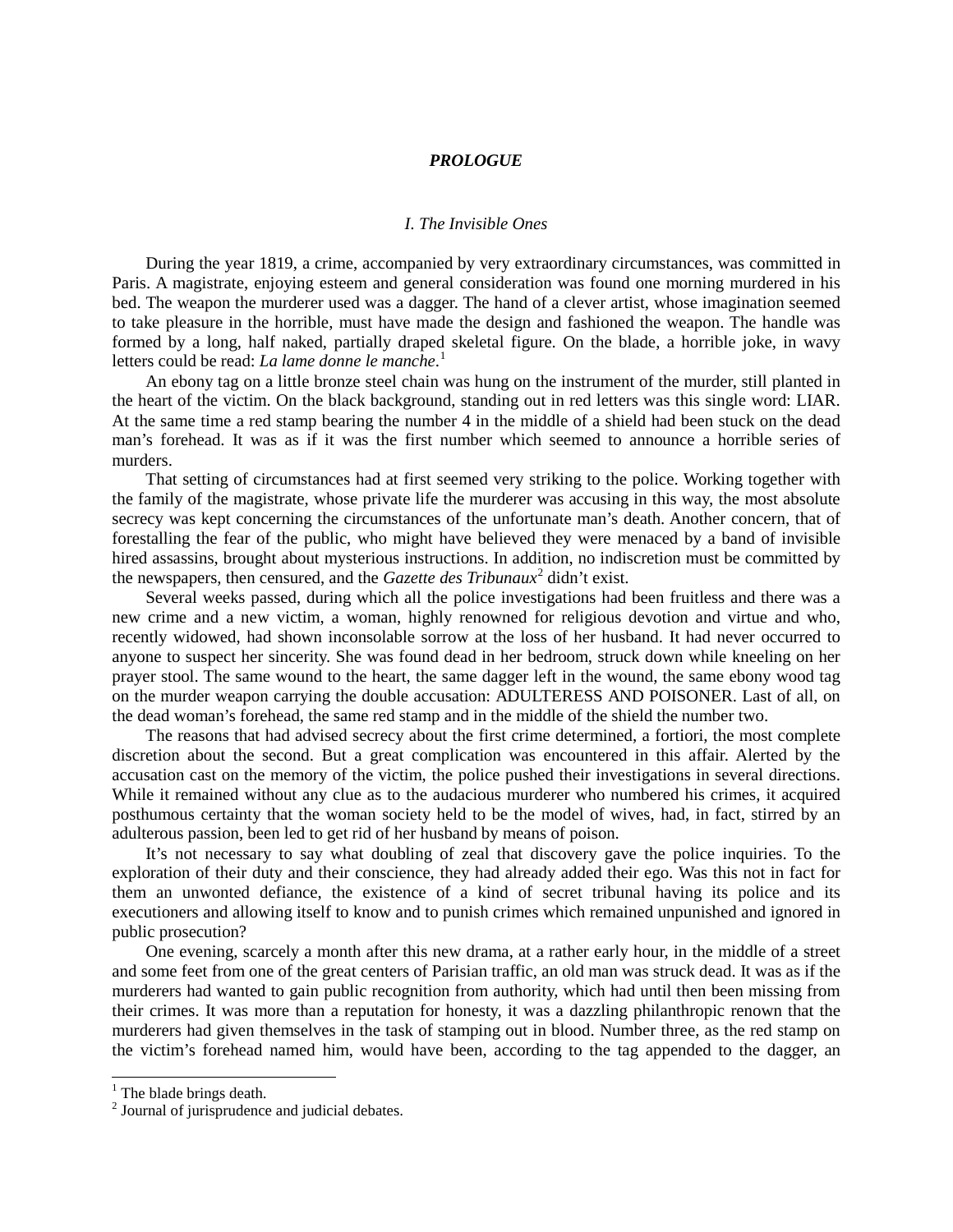## *PROLOGUE*

## *I. The Invisible Ones*

During the year 1819, a crime, accompanied by very extraordinary circumstances, was committed in Paris. A magistrate, enjoying esteem and general consideration was found one morning murdered in his bed. The weapon the murderer used was a dagger. The hand of a clever artist, whose imagination seemed to take pleasure in the horrible, must have made the design and fashioned the weapon. The handle was formed by a long, half naked, partially draped skeletal figure. On the blade, a horrible joke, in wavy letters could be read: *La lame donne le manche*. [1](#page-0-0)

An ebony tag on a little bronze steel chain was hung on the instrument of the murder, still planted in the heart of the victim. On the black background, standing out in red letters was this single word: LIAR. At the same time a red stamp bearing the number 4 in the middle of a shield had been stuck on the dead man's forehead. It was as if it was the first number which seemed to announce a horrible series of murders.

That setting of circumstances had at first seemed very striking to the police. Working together with the family of the magistrate, whose private life the murderer was accusing in this way, the most absolute secrecy was kept concerning the circumstances of the unfortunate man's death. Another concern, that of forestalling the fear of the public, who might have believed they were menaced by a band of invisible hired assassins, brought about mysterious instructions. In addition, no indiscretion must be committed by the newspapers, then censured, and the *Gazette des Tribunaux*[2](#page-0-1) didn't exist.

Several weeks passed, during which all the police investigations had been fruitless and there was a new crime and a new victim, a woman, highly renowned for religious devotion and virtue and who, recently widowed, had shown inconsolable sorrow at the loss of her husband. It had never occurred to anyone to suspect her sincerity. She was found dead in her bedroom, struck down while kneeling on her prayer stool. The same wound to the heart, the same dagger left in the wound, the same ebony wood tag on the murder weapon carrying the double accusation: ADULTERESS AND POISONER. Last of all, on the dead woman's forehead, the same red stamp and in the middle of the shield the number two.

The reasons that had advised secrecy about the first crime determined, a fortiori, the most complete discretion about the second. But a great complication was encountered in this affair. Alerted by the accusation cast on the memory of the victim, the police pushed their investigations in several directions. While it remained without any clue as to the audacious murderer who numbered his crimes, it acquired posthumous certainty that the woman society held to be the model of wives, had, in fact, stirred by an adulterous passion, been led to get rid of her husband by means of poison.

It's not necessary to say what doubling of zeal that discovery gave the police inquiries. To the exploration of their duty and their conscience, they had already added their ego. Was this not in fact for them an unwonted defiance, the existence of a kind of secret tribunal having its police and its executioners and allowing itself to know and to punish crimes which remained unpunished and ignored in public prosecution?

One evening, scarcely a month after this new drama, at a rather early hour, in the middle of a street and some feet from one of the great centers of Parisian traffic, an old man was struck dead. It was as if the murderers had wanted to gain public recognition from authority, which had until then been missing from their crimes. It was more than a reputation for honesty, it was a dazzling philanthropic renown that the murderers had given themselves in the task of stamping out in blood. Number three, as the red stamp on the victim's forehead named him, would have been, according to the tag appended to the dagger, an

<span id="page-0-0"></span> $<sup>1</sup>$  The blade brings death.</sup>

<span id="page-0-1"></span><sup>&</sup>lt;sup>2</sup> Journal of jurisprudence and judicial debates.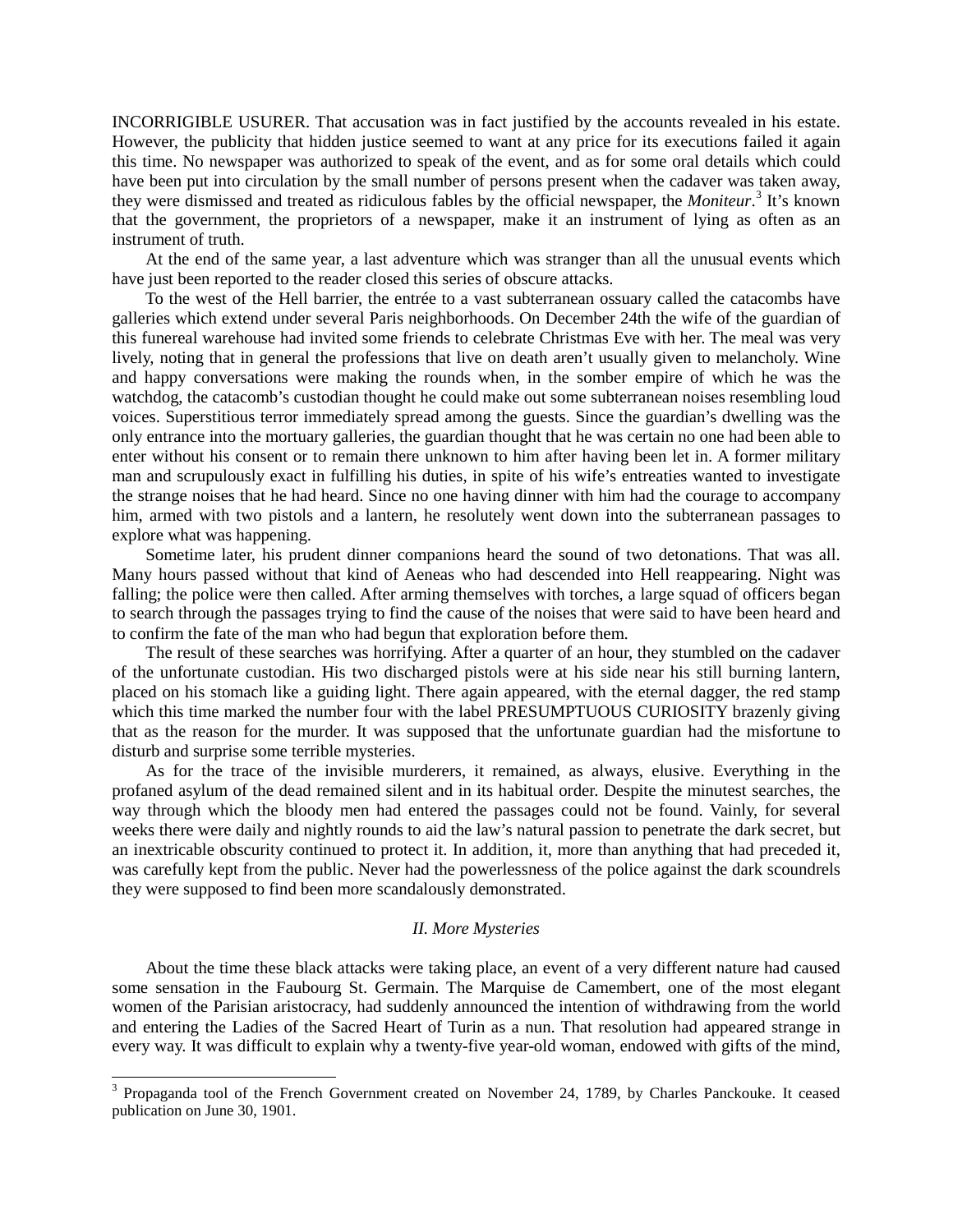INCORRIGIBLE USURER. That accusation was in fact justified by the accounts revealed in his estate. However, the publicity that hidden justice seemed to want at any price for its executions failed it again this time. No newspaper was authorized to speak of the event, and as for some oral details which could have been put into circulation by the small number of persons present when the cadaver was taken away, they were dismissed and treated as ridiculous fables by the official newspaper, the *Moniteur*. [3](#page-1-0) It's known that the government, the proprietors of a newspaper, make it an instrument of lying as often as an instrument of truth.

At the end of the same year, a last adventure which was stranger than all the unusual events which have just been reported to the reader closed this series of obscure attacks.

To the west of the Hell barrier, the entrée to a vast subterranean ossuary called the catacombs have galleries which extend under several Paris neighborhoods. On December 24th the wife of the guardian of this funereal warehouse had invited some friends to celebrate Christmas Eve with her. The meal was very lively, noting that in general the professions that live on death aren't usually given to melancholy. Wine and happy conversations were making the rounds when, in the somber empire of which he was the watchdog, the catacomb's custodian thought he could make out some subterranean noises resembling loud voices. Superstitious terror immediately spread among the guests. Since the guardian's dwelling was the only entrance into the mortuary galleries, the guardian thought that he was certain no one had been able to enter without his consent or to remain there unknown to him after having been let in. A former military man and scrupulously exact in fulfilling his duties, in spite of his wife's entreaties wanted to investigate the strange noises that he had heard. Since no one having dinner with him had the courage to accompany him, armed with two pistols and a lantern, he resolutely went down into the subterranean passages to explore what was happening.

Sometime later, his prudent dinner companions heard the sound of two detonations. That was all. Many hours passed without that kind of Aeneas who had descended into Hell reappearing. Night was falling; the police were then called. After arming themselves with torches, a large squad of officers began to search through the passages trying to find the cause of the noises that were said to have been heard and to confirm the fate of the man who had begun that exploration before them.

The result of these searches was horrifying. After a quarter of an hour, they stumbled on the cadaver of the unfortunate custodian. His two discharged pistols were at his side near his still burning lantern, placed on his stomach like a guiding light. There again appeared, with the eternal dagger, the red stamp which this time marked the number four with the label PRESUMPTUOUS CURIOSITY brazenly giving that as the reason for the murder. It was supposed that the unfortunate guardian had the misfortune to disturb and surprise some terrible mysteries.

As for the trace of the invisible murderers, it remained, as always, elusive. Everything in the profaned asylum of the dead remained silent and in its habitual order. Despite the minutest searches, the way through which the bloody men had entered the passages could not be found. Vainly, for several weeks there were daily and nightly rounds to aid the law's natural passion to penetrate the dark secret, but an inextricable obscurity continued to protect it. In addition, it, more than anything that had preceded it, was carefully kept from the public. Never had the powerlessness of the police against the dark scoundrels they were supposed to find been more scandalously demonstrated.

## *II. More Mysteries*

About the time these black attacks were taking place, an event of a very different nature had caused some sensation in the Faubourg St. Germain. The Marquise de Camembert, one of the most elegant women of the Parisian aristocracy, had suddenly announced the intention of withdrawing from the world and entering the Ladies of the Sacred Heart of Turin as a nun. That resolution had appeared strange in every way. It was difficult to explain why a twenty-five year-old woman, endowed with gifts of the mind,

<span id="page-1-0"></span> <sup>3</sup> Propaganda tool of the French Government created on November 24, 1789, by Charles Panckouke. It ceased publication on June 30, 1901.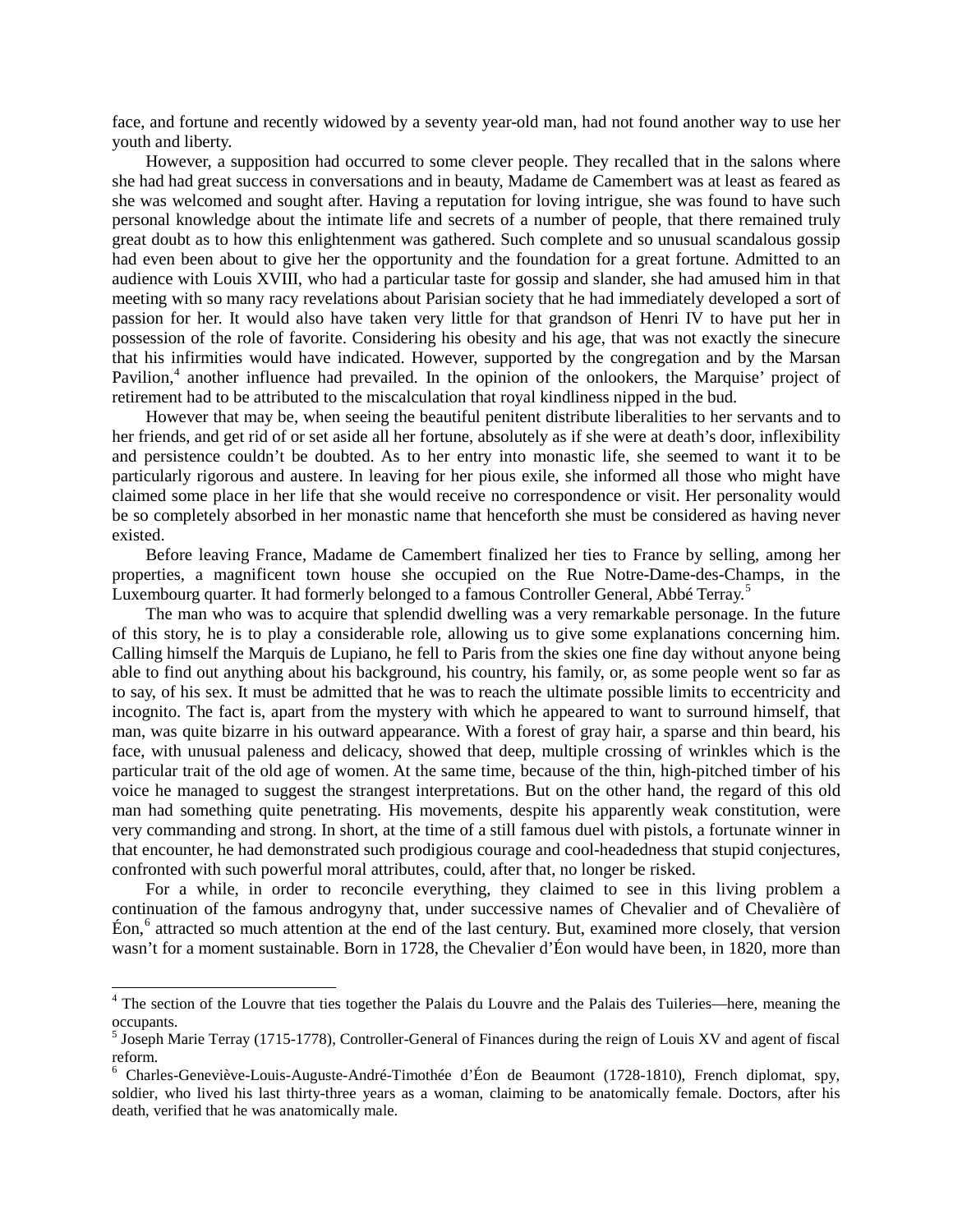face, and fortune and recently widowed by a seventy year-old man, had not found another way to use her youth and liberty.

However, a supposition had occurred to some clever people. They recalled that in the salons where she had had great success in conversations and in beauty, Madame de Camembert was at least as feared as she was welcomed and sought after. Having a reputation for loving intrigue, she was found to have such personal knowledge about the intimate life and secrets of a number of people, that there remained truly great doubt as to how this enlightenment was gathered. Such complete and so unusual scandalous gossip had even been about to give her the opportunity and the foundation for a great fortune. Admitted to an audience with Louis XVIII, who had a particular taste for gossip and slander, she had amused him in that meeting with so many racy revelations about Parisian society that he had immediately developed a sort of passion for her. It would also have taken very little for that grandson of Henri IV to have put her in possession of the role of favorite. Considering his obesity and his age, that was not exactly the sinecure that his infirmities would have indicated. However, supported by the congregation and by the Marsan Pavilion,<sup>[4](#page-2-0)</sup> another influence had prevailed. In the opinion of the onlookers, the Marquise' project of retirement had to be attributed to the miscalculation that royal kindliness nipped in the bud.

However that may be, when seeing the beautiful penitent distribute liberalities to her servants and to her friends, and get rid of or set aside all her fortune, absolutely as if she were at death's door, inflexibility and persistence couldn't be doubted. As to her entry into monastic life, she seemed to want it to be particularly rigorous and austere. In leaving for her pious exile, she informed all those who might have claimed some place in her life that she would receive no correspondence or visit. Her personality would be so completely absorbed in her monastic name that henceforth she must be considered as having never existed.

Before leaving France, Madame de Camembert finalized her ties to France by selling, among her properties, a magnificent town house she occupied on the Rue Notre-Dame-des-Champs, in the Luxembourg quarter. It had formerly belonged to a famous Controller General, Abbé Terray.<sup>[5](#page-2-1)</sup>

The man who was to acquire that splendid dwelling was a very remarkable personage. In the future of this story, he is to play a considerable role, allowing us to give some explanations concerning him. Calling himself the Marquis de Lupiano, he fell to Paris from the skies one fine day without anyone being able to find out anything about his background, his country, his family, or, as some people went so far as to say, of his sex. It must be admitted that he was to reach the ultimate possible limits to eccentricity and incognito. The fact is, apart from the mystery with which he appeared to want to surround himself, that man, was quite bizarre in his outward appearance. With a forest of gray hair, a sparse and thin beard, his face, with unusual paleness and delicacy, showed that deep, multiple crossing of wrinkles which is the particular trait of the old age of women. At the same time, because of the thin, high-pitched timber of his voice he managed to suggest the strangest interpretations. But on the other hand, the regard of this old man had something quite penetrating. His movements, despite his apparently weak constitution, were very commanding and strong. In short, at the time of a still famous duel with pistols, a fortunate winner in that encounter, he had demonstrated such prodigious courage and cool-headedness that stupid conjectures, confronted with such powerful moral attributes, could, after that, no longer be risked.

For a while, in order to reconcile everything, they claimed to see in this living problem a continuation of the famous androgyny that, under successive names of Chevalier and of Chevalière of Éon,<sup>[6](#page-2-2)</sup> attracted so much attention at the end of the last century. But, examined more closely, that version wasn't for a moment sustainable. Born in 1728, the Chevalier d'Éon would have been, in 1820, more than

<span id="page-2-0"></span><sup>&</sup>lt;sup>4</sup> The section of the Louvre that ties together the Palais du Louvre and the Palais des Tuileries—here, meaning the occupants.

<span id="page-2-1"></span> $<sup>5</sup>$  Joseph Marie Terray (1715-1778), Controller-General of Finances during the reign of Louis XV and agent of fiscal</sup> reform.<br><sup>6</sup> Charles-Geneviève-Louis-Auguste-André-Timothée d'Éon de Beaumont (1728-1810), French diplomat, spy,

<span id="page-2-2"></span>soldier, who lived his last thirty-three years as a woman, claiming to be anatomically female. Doctors, after his death, verified that he was anatomically male.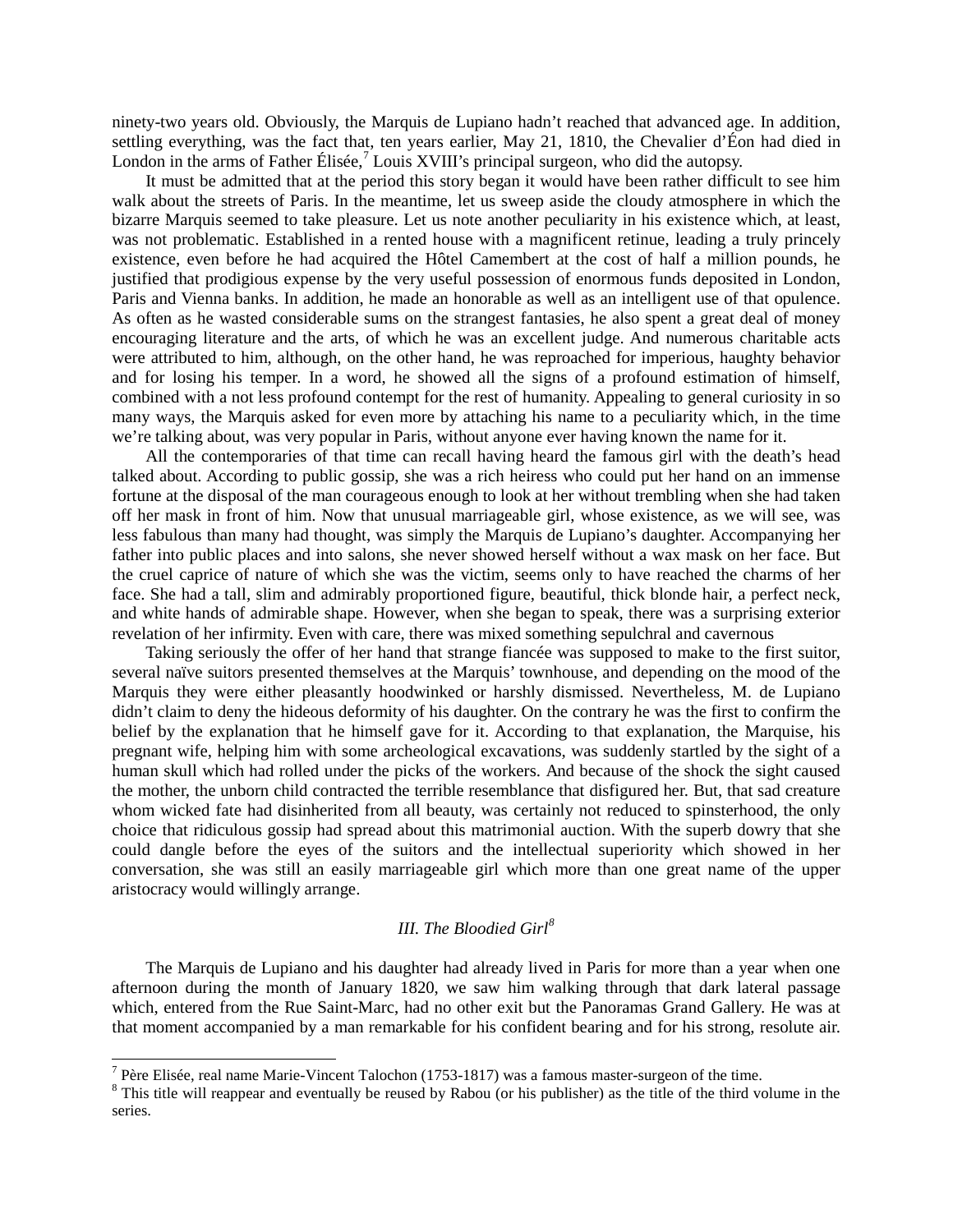ninety-two years old. Obviously, the Marquis de Lupiano hadn't reached that advanced age. In addition, settling everything, was the fact that, ten years earlier, May 21, 1810, the Chevalier d'Éon had died in London in the arms of Father Élisée,<sup>[7](#page-3-0)</sup> Louis XVIII's principal surgeon, who did the autopsy.

It must be admitted that at the period this story began it would have been rather difficult to see him walk about the streets of Paris. In the meantime, let us sweep aside the cloudy atmosphere in which the bizarre Marquis seemed to take pleasure. Let us note another peculiarity in his existence which, at least, was not problematic. Established in a rented house with a magnificent retinue, leading a truly princely existence, even before he had acquired the Hôtel Camembert at the cost of half a million pounds, he justified that prodigious expense by the very useful possession of enormous funds deposited in London, Paris and Vienna banks. In addition, he made an honorable as well as an intelligent use of that opulence. As often as he wasted considerable sums on the strangest fantasies, he also spent a great deal of money encouraging literature and the arts, of which he was an excellent judge. And numerous charitable acts were attributed to him, although, on the other hand, he was reproached for imperious, haughty behavior and for losing his temper. In a word, he showed all the signs of a profound estimation of himself, combined with a not less profound contempt for the rest of humanity. Appealing to general curiosity in so many ways, the Marquis asked for even more by attaching his name to a peculiarity which, in the time we're talking about, was very popular in Paris, without anyone ever having known the name for it.

All the contemporaries of that time can recall having heard the famous girl with the death's head talked about. According to public gossip, she was a rich heiress who could put her hand on an immense fortune at the disposal of the man courageous enough to look at her without trembling when she had taken off her mask in front of him. Now that unusual marriageable girl, whose existence, as we will see, was less fabulous than many had thought, was simply the Marquis de Lupiano's daughter. Accompanying her father into public places and into salons, she never showed herself without a wax mask on her face. But the cruel caprice of nature of which she was the victim, seems only to have reached the charms of her face. She had a tall, slim and admirably proportioned figure, beautiful, thick blonde hair, a perfect neck, and white hands of admirable shape. However, when she began to speak, there was a surprising exterior revelation of her infirmity. Even with care, there was mixed something sepulchral and cavernous

Taking seriously the offer of her hand that strange fiancée was supposed to make to the first suitor, several naïve suitors presented themselves at the Marquis' townhouse, and depending on the mood of the Marquis they were either pleasantly hoodwinked or harshly dismissed. Nevertheless, M. de Lupiano didn't claim to deny the hideous deformity of his daughter. On the contrary he was the first to confirm the belief by the explanation that he himself gave for it. According to that explanation, the Marquise, his pregnant wife, helping him with some archeological excavations, was suddenly startled by the sight of a human skull which had rolled under the picks of the workers. And because of the shock the sight caused the mother, the unborn child contracted the terrible resemblance that disfigured her. But, that sad creature whom wicked fate had disinherited from all beauty, was certainly not reduced to spinsterhood, the only choice that ridiculous gossip had spread about this matrimonial auction. With the superb dowry that she could dangle before the eyes of the suitors and the intellectual superiority which showed in her conversation, she was still an easily marriageable girl which more than one great name of the upper aristocracy would willingly arrange.

## *III. The Bloodied Girl[8](#page-3-1)*

The Marquis de Lupiano and his daughter had already lived in Paris for more than a year when one afternoon during the month of January 1820, we saw him walking through that dark lateral passage which, entered from the Rue Saint-Marc, had no other exit but the Panoramas Grand Gallery. He was at that moment accompanied by a man remarkable for his confident bearing and for his strong, resolute air.

<span id="page-3-1"></span>

<span id="page-3-0"></span><sup>&</sup>lt;sup>7</sup> Père Elisée, real name Marie-Vincent Talochon (1753-1817) was a famous master-surgeon of the time. <sup>8</sup> This title will reappear and eventually be reused by Rabou (or his publisher) as the title of the third volume in series.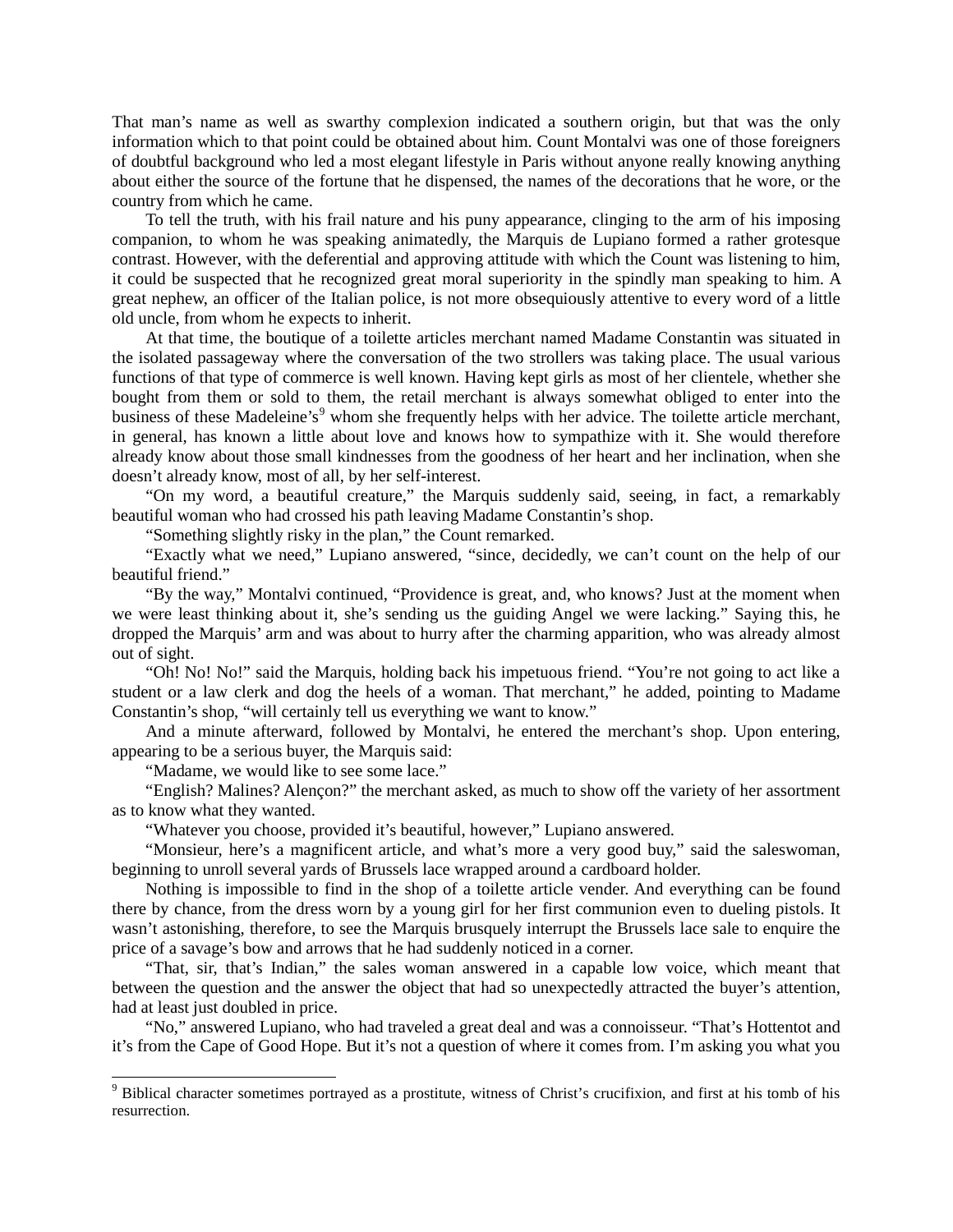That man's name as well as swarthy complexion indicated a southern origin, but that was the only information which to that point could be obtained about him. Count Montalvi was one of those foreigners of doubtful background who led a most elegant lifestyle in Paris without anyone really knowing anything about either the source of the fortune that he dispensed, the names of the decorations that he wore, or the country from which he came.

To tell the truth, with his frail nature and his puny appearance, clinging to the arm of his imposing companion, to whom he was speaking animatedly, the Marquis de Lupiano formed a rather grotesque contrast. However, with the deferential and approving attitude with which the Count was listening to him, it could be suspected that he recognized great moral superiority in the spindly man speaking to him. A great nephew, an officer of the Italian police, is not more obsequiously attentive to every word of a little old uncle, from whom he expects to inherit.

At that time, the boutique of a toilette articles merchant named Madame Constantin was situated in the isolated passageway where the conversation of the two strollers was taking place. The usual various functions of that type of commerce is well known. Having kept girls as most of her clientele, whether she bought from them or sold to them, the retail merchant is always somewhat obliged to enter into the business of these Madeleine's<sup>[9](#page-4-0)</sup> whom she frequently helps with her advice. The toilette article merchant, in general, has known a little about love and knows how to sympathize with it. She would therefore already know about those small kindnesses from the goodness of her heart and her inclination, when she doesn't already know, most of all, by her self-interest.

"On my word, a beautiful creature," the Marquis suddenly said, seeing, in fact, a remarkably beautiful woman who had crossed his path leaving Madame Constantin's shop.

"Something slightly risky in the plan," the Count remarked.

"Exactly what we need," Lupiano answered, "since, decidedly, we can't count on the help of our beautiful friend."

"By the way," Montalvi continued, "Providence is great, and, who knows? Just at the moment when we were least thinking about it, she's sending us the guiding Angel we were lacking." Saying this, he dropped the Marquis' arm and was about to hurry after the charming apparition, who was already almost out of sight.

"Oh! No! No!" said the Marquis, holding back his impetuous friend. "You're not going to act like a student or a law clerk and dog the heels of a woman. That merchant," he added, pointing to Madame Constantin's shop, "will certainly tell us everything we want to know."

And a minute afterward, followed by Montalvi, he entered the merchant's shop. Upon entering, appearing to be a serious buyer, the Marquis said:

"Madame, we would like to see some lace."

"English? Malines? Alençon?" the merchant asked, as much to show off the variety of her assortment as to know what they wanted.

"Whatever you choose, provided it's beautiful, however," Lupiano answered.

"Monsieur, here's a magnificent article, and what's more a very good buy," said the saleswoman, beginning to unroll several yards of Brussels lace wrapped around a cardboard holder.

Nothing is impossible to find in the shop of a toilette article vender. And everything can be found there by chance, from the dress worn by a young girl for her first communion even to dueling pistols. It wasn't astonishing, therefore, to see the Marquis brusquely interrupt the Brussels lace sale to enquire the price of a savage's bow and arrows that he had suddenly noticed in a corner.

"That, sir, that's Indian," the sales woman answered in a capable low voice, which meant that between the question and the answer the object that had so unexpectedly attracted the buyer's attention, had at least just doubled in price.

"No," answered Lupiano, who had traveled a great deal and was a connoisseur. "That's Hottentot and it's from the Cape of Good Hope. But it's not a question of where it comes from. I'm asking you what you

<span id="page-4-0"></span><sup>&</sup>lt;sup>9</sup> Biblical character sometimes portrayed as a prostitute, witness of Christ's crucifixion, and first at his tomb of his resurrection.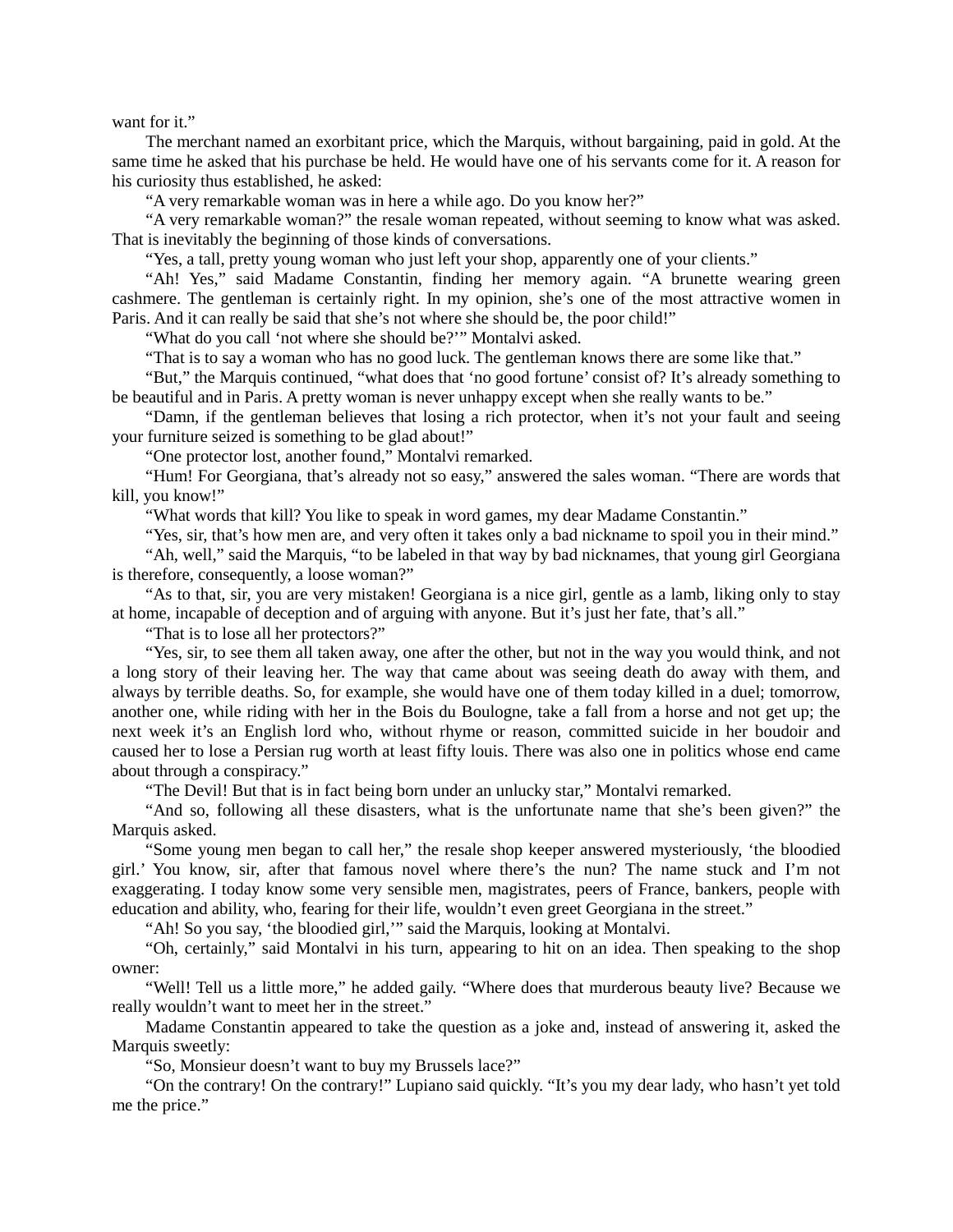want for it."

The merchant named an exorbitant price, which the Marquis, without bargaining, paid in gold. At the same time he asked that his purchase be held. He would have one of his servants come for it. A reason for his curiosity thus established, he asked:

"A very remarkable woman was in here a while ago. Do you know her?"

"A very remarkable woman?" the resale woman repeated, without seeming to know what was asked. That is inevitably the beginning of those kinds of conversations.

"Yes, a tall, pretty young woman who just left your shop, apparently one of your clients."

"Ah! Yes," said Madame Constantin, finding her memory again. "A brunette wearing green cashmere. The gentleman is certainly right. In my opinion, she's one of the most attractive women in Paris. And it can really be said that she's not where she should be, the poor child!"

"What do you call 'not where she should be?"" Montalvi asked.

"That is to say a woman who has no good luck. The gentleman knows there are some like that."

"But," the Marquis continued, "what does that 'no good fortune' consist of? It's already something to be beautiful and in Paris. A pretty woman is never unhappy except when she really wants to be."

"Damn, if the gentleman believes that losing a rich protector, when it's not your fault and seeing your furniture seized is something to be glad about!"

"One protector lost, another found," Montalvi remarked.

"Hum! For Georgiana, that's already not so easy," answered the sales woman. "There are words that kill, you know!"

"What words that kill? You like to speak in word games, my dear Madame Constantin."

"Yes, sir, that's how men are, and very often it takes only a bad nickname to spoil you in their mind."

"Ah, well," said the Marquis, "to be labeled in that way by bad nicknames, that young girl Georgiana is therefore, consequently, a loose woman?"

"As to that, sir, you are very mistaken! Georgiana is a nice girl, gentle as a lamb, liking only to stay at home, incapable of deception and of arguing with anyone. But it's just her fate, that's all."

"That is to lose all her protectors?"

"Yes, sir, to see them all taken away, one after the other, but not in the way you would think, and not a long story of their leaving her. The way that came about was seeing death do away with them, and always by terrible deaths. So, for example, she would have one of them today killed in a duel; tomorrow, another one, while riding with her in the Bois du Boulogne, take a fall from a horse and not get up; the next week it's an English lord who, without rhyme or reason, committed suicide in her boudoir and caused her to lose a Persian rug worth at least fifty louis. There was also one in politics whose end came about through a conspiracy."

"The Devil! But that is in fact being born under an unlucky star," Montalvi remarked.

"And so, following all these disasters, what is the unfortunate name that she's been given?" the Marquis asked.

"Some young men began to call her," the resale shop keeper answered mysteriously, 'the bloodied girl.' You know, sir, after that famous novel where there's the nun? The name stuck and I'm not exaggerating. I today know some very sensible men, magistrates, peers of France, bankers, people with education and ability, who, fearing for their life, wouldn't even greet Georgiana in the street."

"Ah! So you say, 'the bloodied girl,'" said the Marquis, looking at Montalvi.

"Oh, certainly," said Montalvi in his turn, appearing to hit on an idea. Then speaking to the shop owner:

"Well! Tell us a little more," he added gaily. "Where does that murderous beauty live? Because we really wouldn't want to meet her in the street."

Madame Constantin appeared to take the question as a joke and, instead of answering it, asked the Marquis sweetly:

"So, Monsieur doesn't want to buy my Brussels lace?"

"On the contrary! On the contrary!" Lupiano said quickly. "It's you my dear lady, who hasn't yet told me the price."